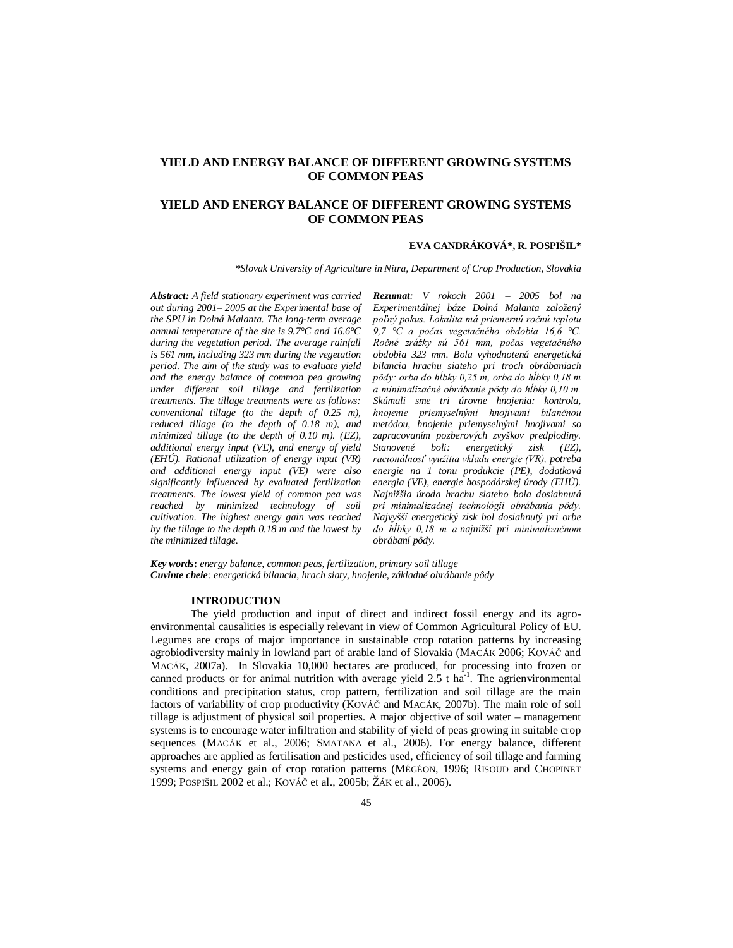# **YIELD AND ENERGY BALANCE OF DIFFERENT GROWING SYSTEMS OF COMMON PEAS**

# **YIELD AND ENERGY BALANCE OF DIFFERENT GROWING SYSTEMS OF COMMON PEAS**

#### **EVA CANDRÁKOVÁ\*, R. POSPIŠIL\***

*\*Slovak University of Agriculture in Nitra, Department of Crop Production, Slovakia*

*Abstract: A field stationary experiment was carried out during 2001– 2005 at the Experimental base of the SPU in Dolná Malanta. The long-term average annual temperature of the site is 9.7°C and 16.6°C during the vegetation period. The average rainfall is 561 mm, including 323 mm during the vegetation period. The aim of the study was to evaluate yield and the energy balance of common pea growing under different soil tillage and fertilization treatments. The tillage treatments were as follows: conventional tillage (to the depth of 0.25 m), reduced tillage (to the depth of 0.18 m), and minimized tillage (to the depth of 0.10 m). (EZ), additional energy input (VE), and energy of yield (EHÚ). Rational utilization of energy input (VR) and additional energy input (VE) were also significantly influenced by evaluated fertilization treatments. The lowest yield of common pea was reached by minimized technology of soil cultivation. The highest energy gain was reached by the tillage to the depth 0.18 m and the lowest by the minimized tillage.*

*Rezumat: V rokoch 2001 – 2005 bol na Experimentálnej báze Dolná Malanta založený poľný pokus. Lokalita má priemernú ročnú teplotu 9,7 °C a počas vegetačného obdobia 16,6 °C. Ročné zrážky sú 561 mm, počas vegetačného obdobia 323 mm. Bola vyhodnotená energetická bilancia hrachu siateho pri troch obrábaniach pôdy: orba do hĺbky 0,25 m, orba do hĺbky 0,18 m a minimalizačné obrábanie pôdy do hĺbky 0,10 m. Skúmali sme tri úrovne hnojenia: kontrola, hnojenie priemyselnými hnojivami bilančnou metódou, hnojenie priemyselnými hnojivami so zapracovaním pozberových zvyškov predplodiny. Stanovené boli: energetický zisk (EZ), racionálnosť využitia vkladu energie (VR), potreba energie na 1 tonu produkcie (PE), dodatková energia (VE), energie hospodárskej úrody (EHÚ). Najnižšia úroda hrachu siateho bola dosiahnutá pri minimalizačnej technológii obrábania pôdy. Najvyšší energetický zisk bol dosiahnutý pri orbe do hĺbky 0,18 m a najnižší pri minimalizačnom obrábaní pôdy.*

*Key words***:** *energy balance, common peas, fertilization, primary soil tillage Cuvinte cheie: energetická bilancia, hrach siaty, hnojenie, základné obrábanie pôdy*

### **INTRODUCTION**

The yield production and input of direct and indirect fossil energy and its agroenvironmental causalities is especially relevant in view of Common Agricultural Policy of EU. Legumes are crops of major importance in sustainable crop rotation patterns by increasing agrobiodiversity mainly in lowland part of arable land of Slovakia (MACÁK 2006; KOVÁČ and MACÁK, 2007a). In Slovakia 10,000 hectares are produced, for processing into frozen or canned products or for animal nutrition with average yield  $2.5$  t ha<sup>-1</sup>. The agrienvironmental conditions and precipitation status, crop pattern, fertilization and soil tillage are the main factors of variability of crop productivity (KOVÁČ and MACÁK, 2007b). The main role of soil tillage is adjustment of physical soil properties. A major objective of soil water – management systems is to encourage water infiltration and stability of yield of peas growing in suitable crop sequences (MACÁK et al., 2006; SMATANA et al., 2006). For energy balance, different approaches are applied as fertilisation and pesticides used, efficiency of soil tillage and farming systems and energy gain of crop rotation patterns (MÉGÉON, 1996; RISOUD and CHOPINET 1999; POSPIŠIL 2002 et al.; KOVÁČ et al., 2005b; ŽÁK et al., 2006).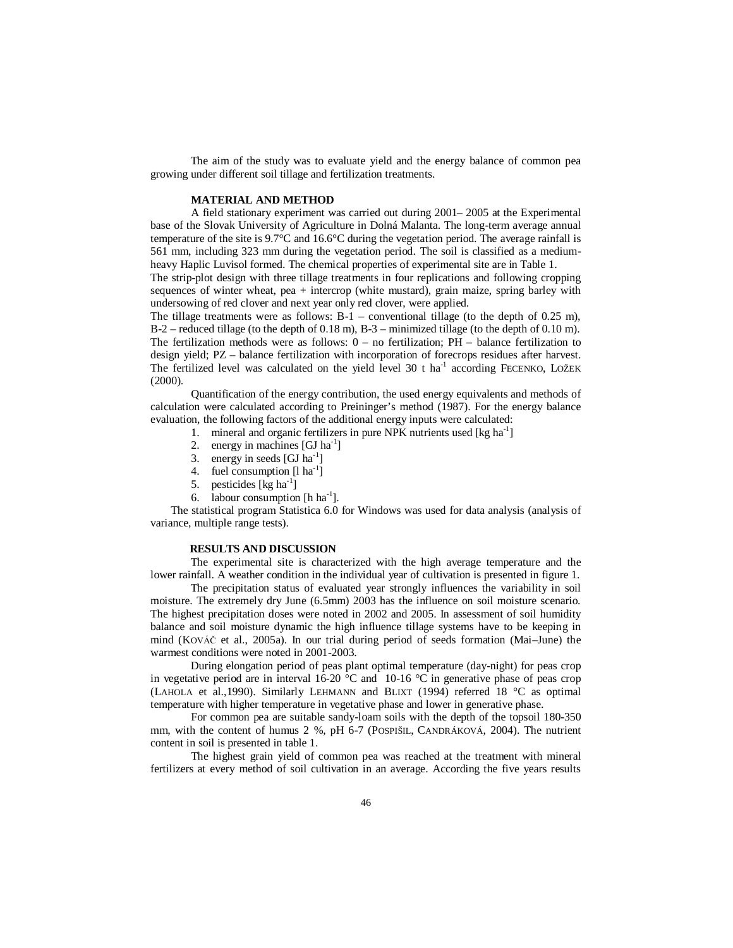The aim of the study was to evaluate yield and the energy balance of common pea growing under different soil tillage and fertilization treatments.

## **MATERIAL AND METHOD**

A field stationary experiment was carried out during 2001– 2005 at the Experimental base of the Slovak University of Agriculture in Dolná Malanta. The long-term average annual temperature of the site is 9.7°C and 16.6°C during the vegetation period. The average rainfall is 561 mm, including 323 mm during the vegetation period. The soil is classified as a mediumheavy Haplic Luvisol formed. The chemical properties of experimental site are in Table 1.

The strip-plot design with three tillage treatments in four replications and following cropping sequences of winter wheat, pea + intercrop (white mustard), grain maize, spring barley with undersowing of red clover and next year only red clover, were applied.

The tillage treatments were as follows:  $B-1$  – conventional tillage (to the depth of 0.25 m), B-2 – reduced tillage (to the depth of 0.18 m), B-3 – minimized tillage (to the depth of 0.10 m). The fertilization methods were as follows: 0 – no fertilization; PH – balance fertilization to design yield; PZ – balance fertilization with incorporation of forecrops residues after harvest. The fertilized level was calculated on the yield level 30 t ha<sup>-1</sup> according FECENKO, LOŽEK (2000).

Quantification of the energy contribution, the used energy equivalents and methods of calculation were calculated according to Preininger's method (1987). For the energy balance evaluation, the following factors of the additional energy inputs were calculated:

- 1. mineral and organic fertilizers in pure NPK nutrients used [kg ha<sup>-1</sup>]
- 2. energy in machines  $[GJ ha<sup>-1</sup>]$
- 3. energy in seeds  $[GJ ha<sup>-1</sup>]$
- 4. fuel consumption  $[1 \text{ ha}^{-1}]$
- 5. pesticides  $[\text{kg ha}^{-1}]$
- 6. labour consumption  $[h \, ha^{-1}]$ .

The statistical program Statistica 6.0 for Windows was used for data analysis (analysis of variance, multiple range tests).

#### **RESULTS AND DISCUSSION**

The experimental site is characterized with the high average temperature and the lower rainfall. A weather condition in the individual year of cultivation is presented in figure 1.

The precipitation status of evaluated year strongly influences the variability in soil moisture. The extremely dry June (6.5mm) 2003 has the influence on soil moisture scenario. The highest precipitation doses were noted in 2002 and 2005. In assessment of soil humidity balance and soil moisture dynamic the high influence tillage systems have to be keeping in mind (KOVÁČ et al., 2005a). In our trial during period of seeds formation (Mai–June) the warmest conditions were noted in 2001-2003.

During elongation period of peas plant optimal temperature (day-night) for peas crop in vegetative period are in interval  $16{\text -}20$  °C and  $10{\text -}16$  °C in generative phase of peas crop (LAHOLA et al.,1990). Similarly LEHMANN and BLIXT (1994) referred 18 °C as optimal temperature with higher temperature in vegetative phase and lower in generative phase.

For common pea are suitable sandy-loam soils with the depth of the topsoil 180-350 mm, with the content of humus 2 %, pH 6-7 (POSPIŠIL, CANDRÁKOVÁ, 2004). The nutrient content in soil is presented in table 1.

The highest grain yield of common pea was reached at the treatment with mineral fertilizers at every method of soil cultivation in an average. According the five years results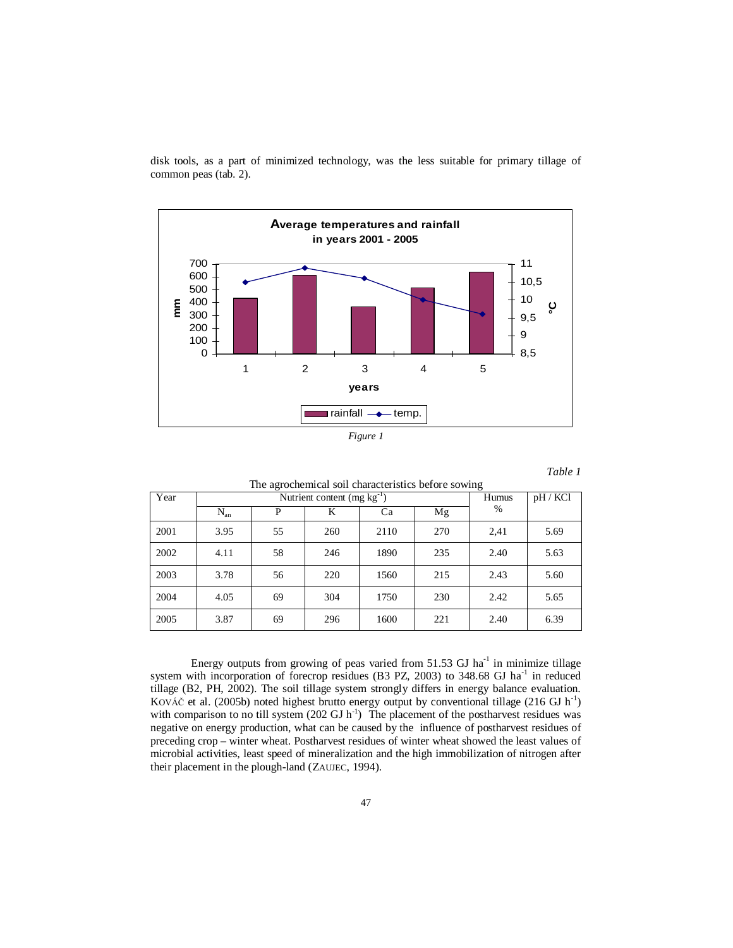

disk tools, as a part of minimized technology, was the less suitable for primary tillage of common peas (tab. 2).



## *Table 1*

| The agrochemical soil characteristics before sowing |          |                                         |       |        |     |      |      |  |  |  |
|-----------------------------------------------------|----------|-----------------------------------------|-------|--------|-----|------|------|--|--|--|
| Year                                                |          | Nutrient content $(mg \text{ kg}^{-1})$ | Humus | pH/KCl |     |      |      |  |  |  |
|                                                     | $N_{an}$ | %                                       |       |        |     |      |      |  |  |  |
| 2001                                                | 3.95     | 55                                      | 260   | 2110   | 270 | 2,41 | 5.69 |  |  |  |
| 2002                                                | 4.11     | 58                                      | 246   | 1890   | 235 | 2.40 | 5.63 |  |  |  |
| 2003                                                | 3.78     | 56                                      | 220   | 1560   | 215 | 2.43 | 5.60 |  |  |  |
| 2004                                                | 4.05     | 69                                      | 304   | 1750   | 230 | 2.42 | 5.65 |  |  |  |
| 2005                                                | 3.87     | 69                                      | 296   | 1600   | 221 | 2.40 | 6.39 |  |  |  |

Energy outputs from growing of peas varied from  $51.53$  GJ ha<sup>-1</sup> in minimize tillage system with incorporation of forecrop residues (B3 PZ, 2003) to 348.68 GJ ha<sup>-1</sup> in reduced tillage (B2, PH, 2002). The soil tillage system strongly differs in energy balance evaluation. KOVÁČ et al. (2005b) noted highest brutto energy output by conventional tillage (216 GJ  $h^{-1}$ ) with comparison to no till system  $(202 \text{ GJ h}^{-1})$  The placement of the postharvest residues was negative on energy production, what can be caused by the influence of postharvest residues of preceding crop – winter wheat. Postharvest residues of winter wheat showed the least values of microbial activities, least speed of mineralization and the high immobilization of nitrogen after their placement in the plough-land (ZAUJEC, 1994).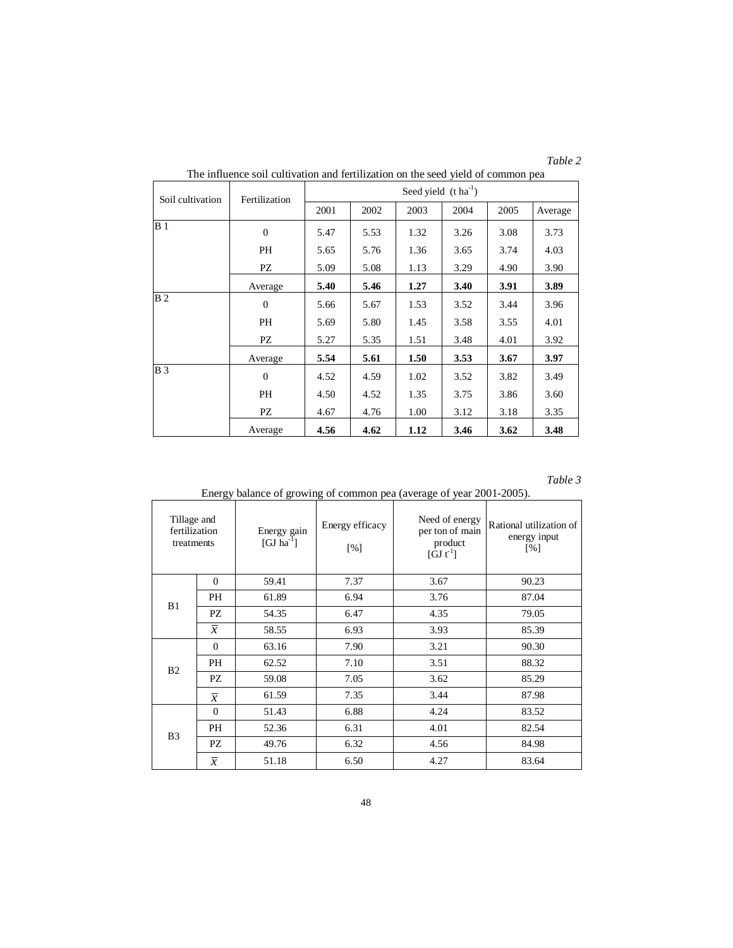| anı |  |
|-----|--|

| Soil cultivation | Fertilization  | Seed yield $(t \, ha^{-1})$ |      |      |      |      |         |  |  |  |  |  |
|------------------|----------------|-----------------------------|------|------|------|------|---------|--|--|--|--|--|
|                  |                | 2001                        | 2002 | 2003 | 2004 | 2005 | Average |  |  |  |  |  |
| B <sub>1</sub>   | $\overline{0}$ | 5.47                        | 5.53 | 1.32 | 3.26 | 3.08 | 3.73    |  |  |  |  |  |
|                  | <b>PH</b>      | 5.65                        | 5.76 | 1.36 | 3.65 | 3.74 | 4.03    |  |  |  |  |  |
|                  | PZ             | 5.09                        | 5.08 | 1.13 | 3.29 | 4.90 | 3.90    |  |  |  |  |  |
|                  | Average        | 5.40                        | 5.46 | 1.27 | 3.40 | 3.91 | 3.89    |  |  |  |  |  |
| B <sub>2</sub>   | $\Omega$       | 5.66                        | 5.67 | 1.53 | 3.52 | 3.44 | 3.96    |  |  |  |  |  |
|                  | PH             | 5.69                        | 5.80 | 1.45 | 3.58 | 3.55 | 4.01    |  |  |  |  |  |
|                  | PZ             | 5.27                        | 5.35 | 1.51 | 3.48 | 4.01 | 3.92    |  |  |  |  |  |
|                  | Average        | 5.54                        | 5.61 | 1.50 | 3.53 | 3.67 | 3.97    |  |  |  |  |  |
| B <sub>3</sub>   | $\Omega$       | 4.52                        | 4.59 | 1.02 | 3.52 | 3.82 | 3.49    |  |  |  |  |  |
|                  | PH             | 4.50                        | 4.52 | 1.35 | 3.75 | 3.86 | 3.60    |  |  |  |  |  |
|                  | PZ             | 4.67                        | 4.76 | 1.00 | 3.12 | 3.18 | 3.35    |  |  |  |  |  |
|                  | Average        | 4.56                        | 4.62 | 1.12 | 3.46 | 3.62 | 3.48    |  |  |  |  |  |

The influence soil cultivation and fertilization on the seed yield of common pea

## *Table 3*

| Tillage and<br>fertilization<br>treatments |                | Energy gain<br>[GJ $ha^{-1}$ ] | Energy efficacy<br>[%] | Need of energy<br>per ton of main<br>product<br>$\left[\mathbf{GJ} \; \mathbf{t}^{-1}\right]$ | Rational utilization of<br>energy input<br>[%] |  |
|--------------------------------------------|----------------|--------------------------------|------------------------|-----------------------------------------------------------------------------------------------|------------------------------------------------|--|
|                                            | $\mathbf{0}$   | 59.41                          | 7.37                   | 3.67                                                                                          | 90.23                                          |  |
| B1                                         | PH             | 61.89                          | 6.94                   | 3.76                                                                                          | 87.04                                          |  |
|                                            | PZ             | 54.35                          | 6.47                   | 4.35                                                                                          | 79.05                                          |  |
|                                            | $\overline{x}$ | 58.55                          | 6.93                   | 3.93                                                                                          | 85.39                                          |  |
|                                            | $\mathbf{0}$   | 63.16                          | 7.90                   | 3.21                                                                                          | 90.30                                          |  |
| B <sub>2</sub>                             | PH             | 62.52                          | 7.10                   | 3.51                                                                                          | 88.32                                          |  |
|                                            | PZ             | 59.08                          | 7.05                   | 3.62                                                                                          | 85.29                                          |  |
|                                            | $\overline{x}$ | 61.59                          | 7.35                   | 3.44                                                                                          | 87.98                                          |  |
|                                            | $\overline{0}$ | 51.43                          | 6.88                   | 4.24                                                                                          | 83.52                                          |  |
|                                            | PH             | 52.36                          | 6.31                   | 4.01                                                                                          | 82.54                                          |  |
| B <sub>3</sub>                             | PZ             | 49.76                          | 6.32                   | 4.56                                                                                          | 84.98                                          |  |
|                                            | $\overline{x}$ | 51.18                          | 6.50                   | 4.27                                                                                          | 83.64                                          |  |

Energy balance of growing of common pea (average of year 2001-2005).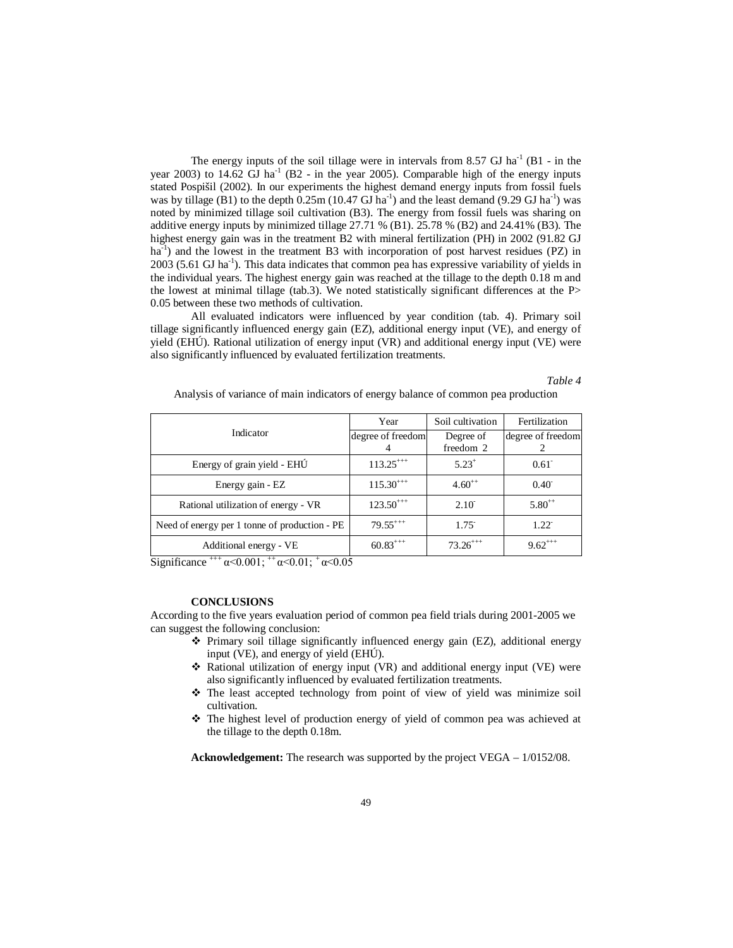The energy inputs of the soil tillage were in intervals from 8.57 GJ ha<sup>-1</sup> (B1 - in the year 2003) to  $14.62$  GJ ha<sup>-1</sup> (B2 - in the year 2005). Comparable high of the energy inputs stated Pospišil (2002). In our experiments the highest demand energy inputs from fossil fuels was by tillage (B1) to the depth  $0.25$ m (10.47 GJ ha<sup>-1</sup>) and the least demand (9.29 GJ ha<sup>-1</sup>) was noted by minimized tillage soil cultivation (B3). The energy from fossil fuels was sharing on additive energy inputs by minimized tillage 27.71 % (B1). 25.78 % (B2) and 24.41% (B3). The highest energy gain was in the treatment B2 with mineral fertilization (PH) in 2002 (91.82 GJ ha<sup>-1</sup>) and the lowest in the treatment B3 with incorporation of post harvest residues (PZ) in 2003 (5.61 GJ ha<sup>-1</sup>). This data indicates that common pea has expressive variability of yields in the individual years. The highest energy gain was reached at the tillage to the depth 0.18 m and the lowest at minimal tillage (tab.3). We noted statistically significant differences at the P> 0.05 between these two methods of cultivation.

All evaluated indicators were influenced by year condition (tab. 4). Primary soil tillage significantly influenced energy gain (EZ), additional energy input (VE), and energy of yield (EHÚ). Rational utilization of energy input (VR) and additional energy input (VE) were also significantly influenced by evaluated fertilization treatments.

*Table 4*

|  |  |  |  |  |  |  | Analysis of variance of main indicators of energy balance of common pea production |
|--|--|--|--|--|--|--|------------------------------------------------------------------------------------|
|  |  |  |  |  |  |  |                                                                                    |

|                                               | Year              | Soil cultivation       | Fertilization     |  |  |
|-----------------------------------------------|-------------------|------------------------|-------------------|--|--|
| Indicator                                     | degree of freedom | Degree of<br>freedom 2 | degree of freedom |  |  |
|                                               | $113.25^{++}$     | $5.23^{+}$             |                   |  |  |
| Energy of grain yield - EHU                   |                   |                        | $0.61^{-}$        |  |  |
| Energy gain - EZ                              | $115.30^{++}$     | $4.60^{++}$            | $0.40^{-}$        |  |  |
| Rational utilization of energy - VR           | $123.50^{+++}$    | $2.10^{-}$             | $5.80^{++}$       |  |  |
| Need of energy per 1 tonne of production - PE | $79.55^{+++}$     | $1.75$ <sup>-</sup>    | $1.22^{\degree}$  |  |  |
| Additional energy - VE                        | $60.83^{+++}$     | $73.26^{++}$           | $9.62^{***}$      |  |  |

Significance  $^{+++}\alpha$  < 0.001;  $^{+} \alpha$  < 0.01;  $^{+} \alpha$  < 0.05

#### **CONCLUSIONS**

According to the five years evaluation period of common pea field trials during 2001-2005 we can suggest the following conclusion:

- $\div$  Primary soil tillage significantly influenced energy gain (EZ), additional energy input (VE), and energy of yield (EHÚ).
- $\div$  Rational utilization of energy input (VR) and additional energy input (VE) were also significantly influenced by evaluated fertilization treatments.
- \* The least accepted technology from point of view of yield was minimize soil cultivation.
- The highest level of production energy of yield of common pea was achieved at the tillage to the depth 0.18m.

**Acknowledgement:** The research was supported by the project VEGA – 1/0152/08.